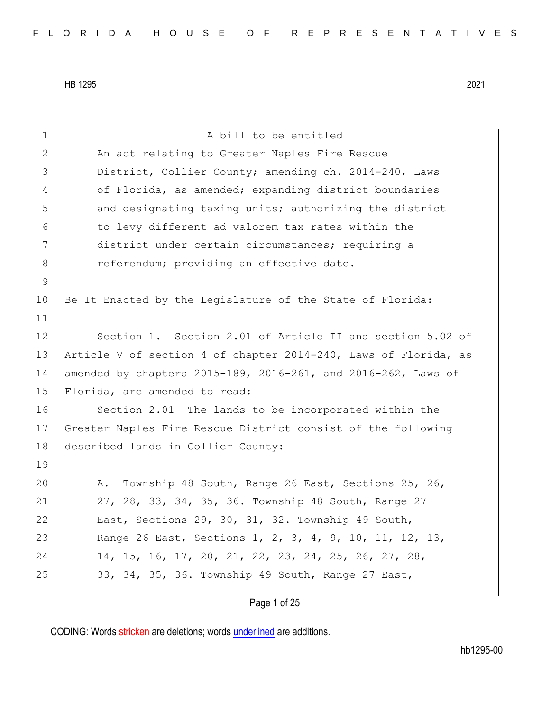| $\mathbbm{1}$ | A bill to be entitled                                           |
|---------------|-----------------------------------------------------------------|
| $\mathbf{2}$  | An act relating to Greater Naples Fire Rescue                   |
| 3             | District, Collier County; amending ch. 2014-240, Laws           |
| 4             | of Florida, as amended; expanding district boundaries           |
| 5             | and designating taxing units; authorizing the district          |
| 6             | to levy different ad valorem tax rates within the               |
| 7             | district under certain circumstances; requiring a               |
| 8             | referendum; providing an effective date.                        |
| $\mathsf 9$   |                                                                 |
| 10            | Be It Enacted by the Legislature of the State of Florida:       |
| 11            |                                                                 |
| 12            | Section 1. Section 2.01 of Article II and section 5.02 of       |
| 13            | Article V of section 4 of chapter 2014-240, Laws of Florida, as |
| 14            | amended by chapters 2015-189, 2016-261, and 2016-262, Laws of   |
| 15            | Florida, are amended to read:                                   |
| 16            | Section 2.01 The lands to be incorporated within the            |
| 17            | Greater Naples Fire Rescue District consist of the following    |
| 18            | described lands in Collier County:                              |
| 19            |                                                                 |
| 20            | Township 48 South, Range 26 East, Sections 25, 26,<br>Α.        |
| 21            | 27, 28, 33, 34, 35, 36. Township 48 South, Range 27             |
| 22            | East, Sections 29, 30, 31, 32. Township 49 South,               |
| 23            | Range 26 East, Sections 1, 2, 3, 4, 9, 10, 11, 12, 13,          |
| 24            | 14, 15, 16, 17, 20, 21, 22, 23, 24, 25, 26, 27, 28,             |
| 25            | 33, 34, 35, 36. Township 49 South, Range 27 East,               |
|               |                                                                 |
|               | Page 1 of 25                                                    |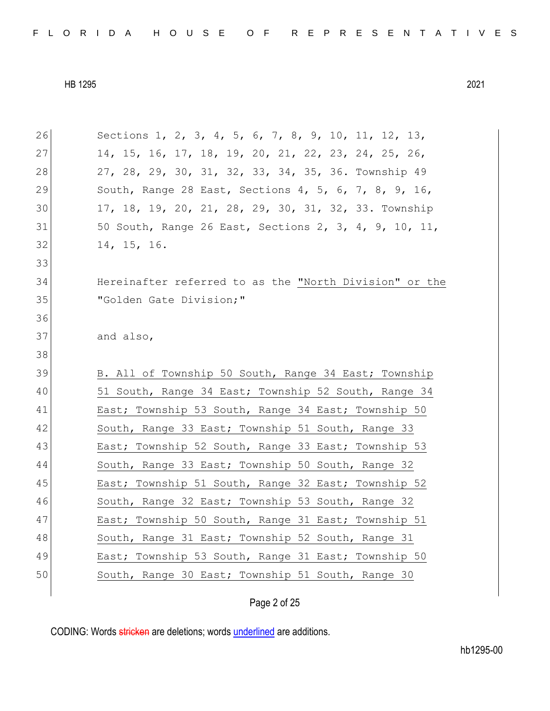| 26 | Sections 1, 2, 3, 4, 5, 6, 7, 8, 9, 10, 11, 12, 13,    |
|----|--------------------------------------------------------|
| 27 | 14, 15, 16, 17, 18, 19, 20, 21, 22, 23, 24, 25, 26,    |
| 28 | 27, 28, 29, 30, 31, 32, 33, 34, 35, 36. Township 49    |
| 29 | South, Range 28 East, Sections 4, 5, 6, 7, 8, 9, 16,   |
| 30 | 17, 18, 19, 20, 21, 28, 29, 30, 31, 32, 33. Township   |
| 31 | 50 South, Range 26 East, Sections 2, 3, 4, 9, 10, 11,  |
| 32 | 14, 15, 16.                                            |
| 33 |                                                        |
| 34 | Hereinafter referred to as the "North Division" or the |
| 35 | "Golden Gate Division;"                                |
| 36 |                                                        |
| 37 | and also,                                              |
| 38 |                                                        |
|    |                                                        |
| 39 | B. All of Township 50 South, Range 34 East; Township   |
| 40 | 51 South, Range 34 East; Township 52 South, Range 34   |
| 41 | East; Township 53 South, Range 34 East; Township 50    |
| 42 | South, Range 33 East; Township 51 South, Range 33      |
| 43 | East; Township 52 South, Range 33 East; Township 53    |
| 44 | South, Range 33 East; Township 50 South, Range 32      |
| 45 | East; Township 51 South, Range 32 East; Township 52    |
| 46 | South, Range 32 East; Township 53 South, Range 32      |
| 47 | East; Township 50 South, Range 31 East; Township 51    |
| 48 | South, Range 31 East; Township 52 South, Range 31      |
| 49 | East; Township 53 South, Range 31 East; Township 50    |
| 50 | South, Range 30 East; Township 51 South, Range 30      |

Page 2 of 25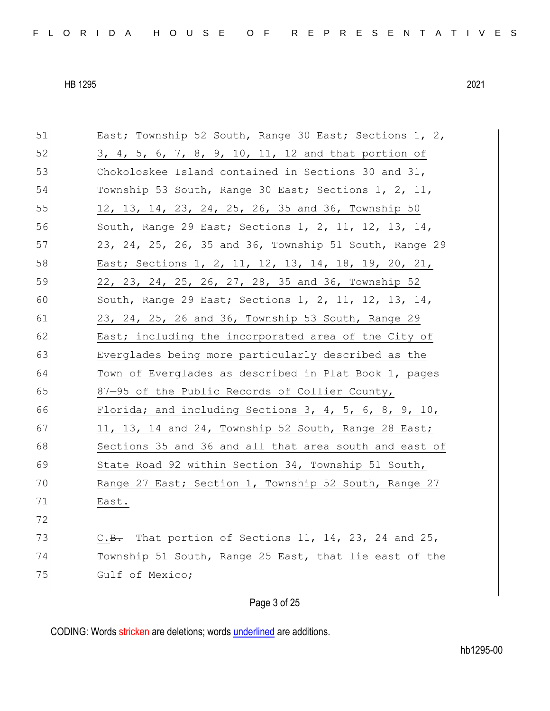51 East; Township 52 South, Range 30 East; Sections 1, 2, 52 3, 4, 5, 6, 7, 8, 9, 10, 11, 12 and that portion of 53 Chokoloskee Island contained in Sections 30 and 31, 54 Township 53 South, Range 30 East; Sections 1, 2, 11, 55 12, 13, 14, 23, 24, 25, 26, 35 and 36, Township 50 56 South, Range 29 East; Sections 1, 2, 11, 12, 13, 14, 57 23, 24, 25, 26, 35 and 36, Township 51 South, Range 29 58 East; Sections 1, 2, 11, 12, 13, 14, 18, 19, 20, 21, 59 22, 23, 24, 25, 26, 27, 28, 35 and 36, Township 52 60 South, Range 29 East; Sections 1, 2, 11, 12, 13, 14, 61 23, 24, 25, 26 and 36, Township 53 South, Range 29 62 East; including the incorporated area of the City of 63 Everglades being more particularly described as the 64 Town of Everglades as described in Plat Book 1, pages 65 87—95 of the Public Records of Collier County, 66 Florida; and including Sections 3, 4, 5, 6, 8, 9, 10, 67 11, 13, 14 and 24, Township 52 South, Range 28 East; 68 Sections 35 and 36 and all that area south and east of 69 State Road 92 within Section 34, Township 51 South, 70 Range 27 East; Section 1, Township 52 South, Range 27 71 East. 72 73  $C.B.$  That portion of Sections 11, 14, 23, 24 and 25, 74 Township 51 South, Range 25 East, that lie east of the 75 Gulf of Mexico;

### Page 3 of 25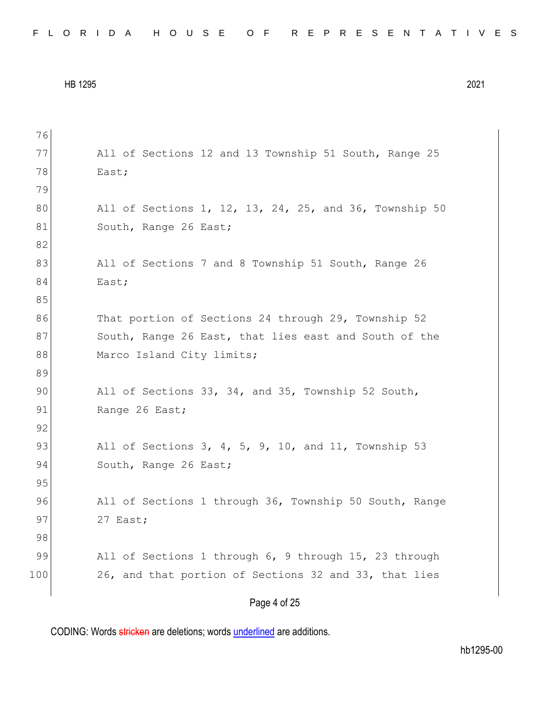| FLORIDA HOUSE OF REPRESENTATIVES |  |
|----------------------------------|--|
|----------------------------------|--|

```
76
77 All of Sections 12 and 13 Township 51 South, Range 25
78 East;
79
80 All of Sections 1, 12, 13, 24, 25, and 36, Township 50
81 South, Range 26 East;
82
83 All of Sections 7 and 8 Township 51 South, Range 26
84 East;
85
86 That portion of Sections 24 through 29, Township 52
87 South, Range 26 East, that lies east and South of the
88 Marco Island City limits;
89
90 All of Sections 33, 34, and 35, Township 52 South,
91 Range 26 East;
92
93 All of Sections 3, 4, 5, 9, 10, and 11, Township 53
94 South, Range 26 East;
95
96 All of Sections 1 through 36, Township 50 South, Range
97 27 East;
98
99 All of Sections 1 through 6, 9 through 15, 23 through
100 26, and that portion of Sections 32 and 33, that lies
```
Page 4 of 25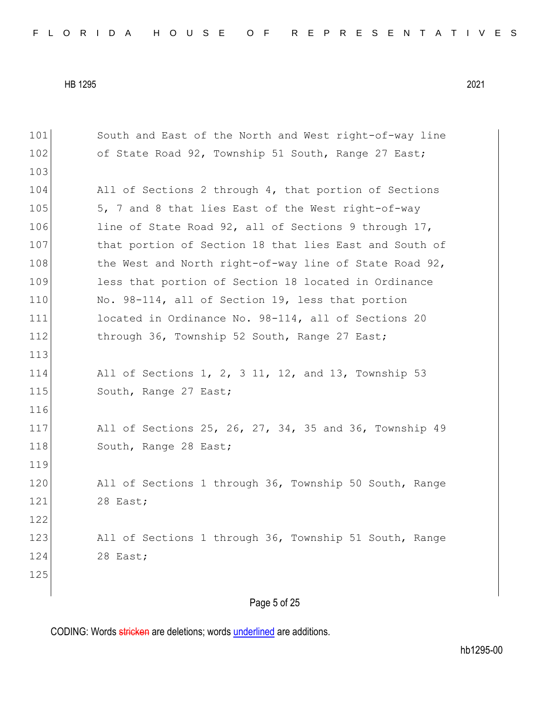101 South and East of the North and West right-of-way line 102 of State Road 92, Township 51 South, Range 27 East; 103 104 All of Sections 2 through 4, that portion of Sections 105 5, 7 and 8 that lies East of the West right-of-way 106 line of State Road 92, all of Sections 9 through 17, 107 bhat portion of Section 18 that lies East and South of 108 the West and North right-of-way line of State Road 92, 109 less that portion of Section 18 located in Ordinance 110 No. 98-114, all of Section 19, less that portion 111 located in Ordinance No. 98-114, all of Sections 20 112 through 36, Township 52 South, Range 27 East; 113 114 All of Sections 1, 2, 3 11, 12, and 13, Township 53 115 South, Range 27 East; 116 117 All of Sections 25, 26, 27, 34, 35 and 36, Township 49 118 South, Range 28 East; 119 120 All of Sections 1 through 36, Township 50 South, Range 121 28 East; 122 123 All of Sections 1 through 36, Township 51 South, Range 124 28 East; 125

Page 5 of 25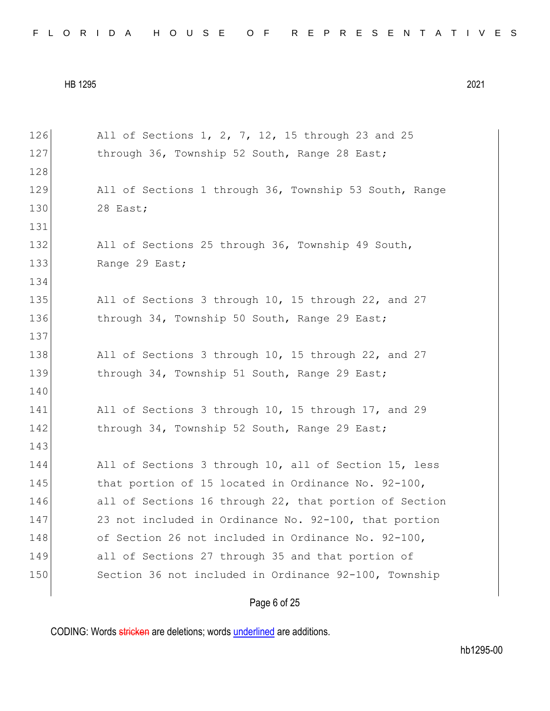| 126 | All of Sections 1, 2, 7, 12, 15 through 23 and 25      |
|-----|--------------------------------------------------------|
| 127 | through 36, Township 52 South, Range 28 East;          |
| 128 |                                                        |
| 129 | All of Sections 1 through 36, Township 53 South, Range |
| 130 | 28 East;                                               |
| 131 |                                                        |
| 132 | All of Sections 25 through 36, Township 49 South,      |
| 133 | Range 29 East;                                         |
| 134 |                                                        |
| 135 | All of Sections 3 through 10, 15 through 22, and 27    |
| 136 | through 34, Township 50 South, Range 29 East;          |
| 137 |                                                        |
| 138 | All of Sections 3 through 10, 15 through 22, and 27    |
| 139 | through 34, Township 51 South, Range 29 East;          |
| 140 |                                                        |
| 141 | All of Sections 3 through 10, 15 through 17, and 29    |
| 142 | through 34, Township 52 South, Range 29 East;          |
| 143 |                                                        |
| 144 | All of Sections 3 through 10, all of Section 15, less  |
| 145 | that portion of 15 located in Ordinance No. 92-100,    |
| 146 | all of Sections 16 through 22, that portion of Section |
| 147 | 23 not included in Ordinance No. 92-100, that portion  |
| 148 | of Section 26 not included in Ordinance No. 92-100,    |
| 149 | all of Sections 27 through 35 and that portion of      |
| 150 | Section 36 not included in Ordinance 92-100, Township  |
|     |                                                        |

# Page 6 of 25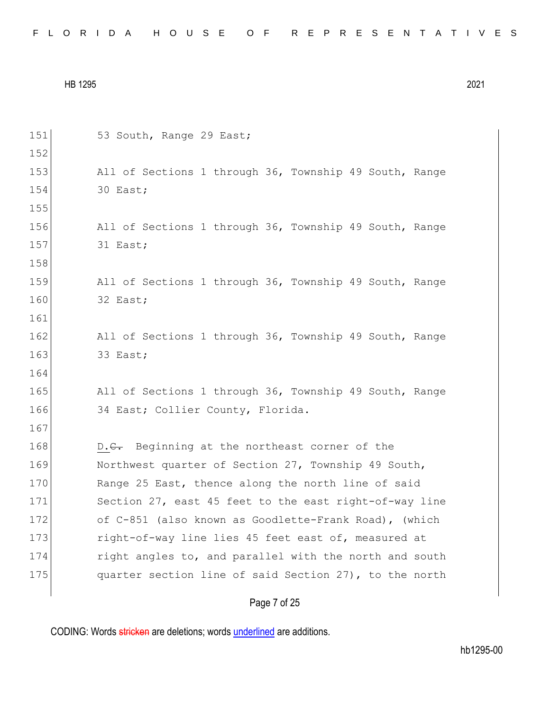|  |  |  |  |  |  |  |  |  |  | FLORIDA HOUSE OF REPRESENTATIVES |  |  |  |  |  |  |  |  |  |  |  |  |  |  |  |  |
|--|--|--|--|--|--|--|--|--|--|----------------------------------|--|--|--|--|--|--|--|--|--|--|--|--|--|--|--|--|
|--|--|--|--|--|--|--|--|--|--|----------------------------------|--|--|--|--|--|--|--|--|--|--|--|--|--|--|--|--|

| 151 | 53 South, Range 29 East;                               |
|-----|--------------------------------------------------------|
| 152 |                                                        |
| 153 | All of Sections 1 through 36, Township 49 South, Range |
| 154 | 30 East;                                               |
| 155 |                                                        |
| 156 | All of Sections 1 through 36, Township 49 South, Range |
| 157 | 31 East;                                               |
| 158 |                                                        |
| 159 | All of Sections 1 through 36, Township 49 South, Range |
| 160 | 32 East;                                               |
| 161 |                                                        |
| 162 | All of Sections 1 through 36, Township 49 South, Range |
| 163 | 33 East;                                               |
| 164 |                                                        |
| 165 | All of Sections 1 through 36, Township 49 South, Range |
| 166 | 34 East; Collier County, Florida.                      |
| 167 |                                                        |
| 168 | D.C. Beginning at the northeast corner of the          |
| 169 | Northwest quarter of Section 27, Township 49 South,    |
| 170 | Range 25 East, thence along the north line of said     |
| 171 | Section 27, east 45 feet to the east right-of-way line |
| 172 | of C-851 (also known as Goodlette-Frank Road), (which  |
| 173 | right-of-way line lies 45 feet east of, measured at    |
| 174 | right angles to, and parallel with the north and south |
| 175 | quarter section line of said Section 27), to the north |
|     |                                                        |

# Page 7 of 25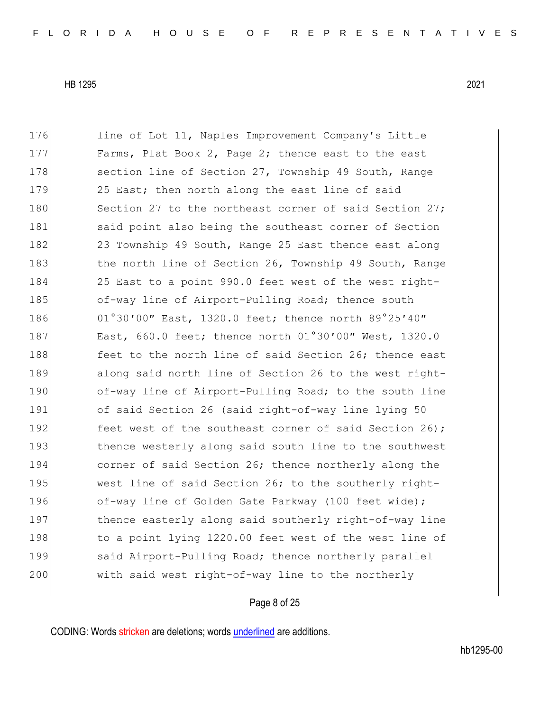176 line of Lot 11, Naples Improvement Company's Little 177 Farms, Plat Book 2, Page 2; thence east to the east 178 section line of Section 27, Township 49 South, Range 179 25 East; then north along the east line of said 180 Section 27 to the northeast corner of said Section 27; 181 said point also being the southeast corner of Section 182 23 Township 49 South, Range 25 East thence east along 183 the north line of Section 26, Township 49 South, Range 184 25 East to a point 990.0 feet west of the west right-185 of-way line of Airport-Pulling Road; thence south 186 01°30'00" East, 1320.0 feet; thence north 89°25'40" 187 East, 660.0 feet; thence north 01°30'00" West, 1320.0 188 feet to the north line of said Section 26; thence east 189 along said north line of Section 26 to the west right-190 of-way line of Airport-Pulling Road; to the south line 191 of said Section 26 (said right-of-way line lying 50 192 feet west of the southeast corner of said Section 26); 193 thence westerly along said south line to the southwest 194 corner of said Section 26; thence northerly along the 195 west line of said Section 26; to the southerly right-196 of-way line of Golden Gate Parkway (100 feet wide); 197 thence easterly along said southerly right-of-way line 198 to a point lying 1220.00 feet west of the west line of 199 said Airport-Pulling Road; thence northerly parallel 200 with said west right-of-way line to the northerly

#### Page 8 of 25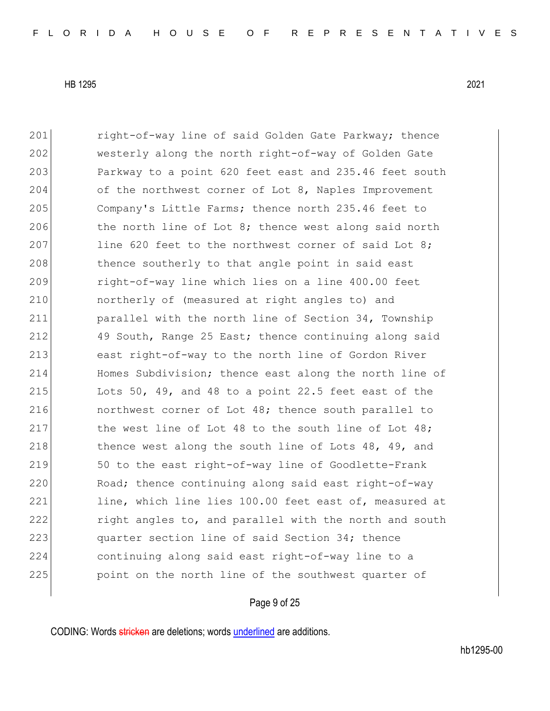201 right-of-way line of said Golden Gate Parkway; thence 202 westerly along the north right-of-way of Golden Gate 203 Parkway to a point 620 feet east and 235.46 feet south 204 of the northwest corner of Lot 8, Naples Improvement 205 Company's Little Farms; thence north 235.46 feet to 206 the north line of Lot 8; thence west along said north 207 line 620 feet to the northwest corner of said Lot 8; 208 thence southerly to that angle point in said east 209 right-of-way line which lies on a line 400.00 feet 210 **h** northerly of (measured at right angles to) and 211 parallel with the north line of Section 34, Township 212 49 South, Range 25 East; thence continuing along said 213 east right-of-way to the north line of Gordon River 214 Homes Subdivision; thence east along the north line of 215 Lots 50, 49, and 48 to a point 22.5 feet east of the 216 **northwest corner of Lot 48; thence south parallel to** 217 the west line of Lot 48 to the south line of Lot  $48$ ; 218 18 thence west along the south line of Lots 48, 49, and 219 50 to the east right-of-way line of Goodlette-Frank 220 Road; thence continuing along said east right-of-way 221 line, which line lies 100.00 feet east of, measured at 222 right angles to, and parallel with the north and south 223 quarter section line of said Section 34; thence 224 continuing along said east right-of-way line to a 225 point on the north line of the southwest quarter of

#### Page 9 of 25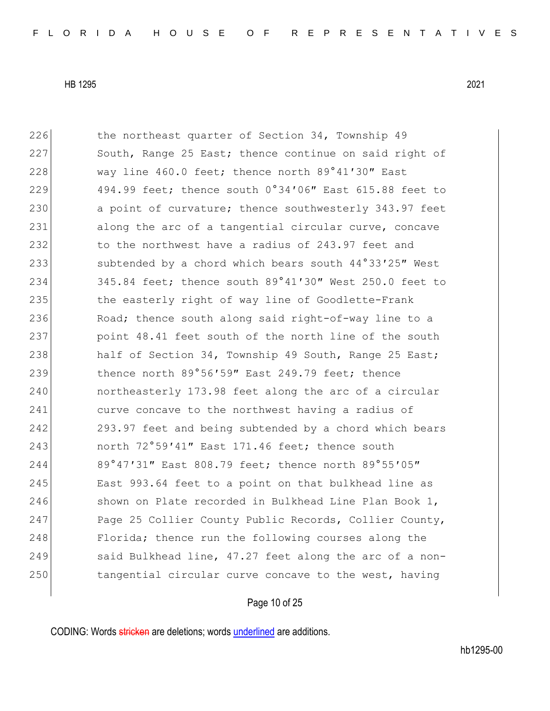226 the northeast quarter of Section 34, Township 49 227 South, Range 25 East; thence continue on said right of 228 way line 460.0 feet; thence north 89°41'30" East 229 494.99 feet; thence south 0°34'06" East 615.88 feet to 230 a point of curvature; thence southwesterly 343.97 feet 231 along the arc of a tangential circular curve, concave 232 to the northwest have a radius of 243.97 feet and 233 subtended by a chord which bears south 44°33'25" West 234 345.84 feet; thence south 89°41'30" West 250.0 feet to 235 the easterly right of way line of Goodlette-Frank 236 Road; thence south along said right-of-way line to a 237 point 48.41 feet south of the north line of the south 238 half of Section 34, Township 49 South, Range 25 East; 239 thence north 89°56'59" East 249.79 feet; thence 240 **h** northeasterly 173.98 feet along the arc of a circular 241 curve concave to the northwest having a radius of 242 293.97 feet and being subtended by a chord which bears 243 north 72°59′41″ East 171.46 feet; thence south 244 89°47′31″ East 808.79 feet; thence north 89°55′05″ 245 East 993.64 feet to a point on that bulkhead line as 246 Shown on Plate recorded in Bulkhead Line Plan Book 1, 247 Page 25 Collier County Public Records, Collier County, 248 Florida; thence run the following courses along the 249 said Bulkhead line, 47.27 feet along the arc of a non-250 tangential circular curve concave to the west, having

### Page 10 of 25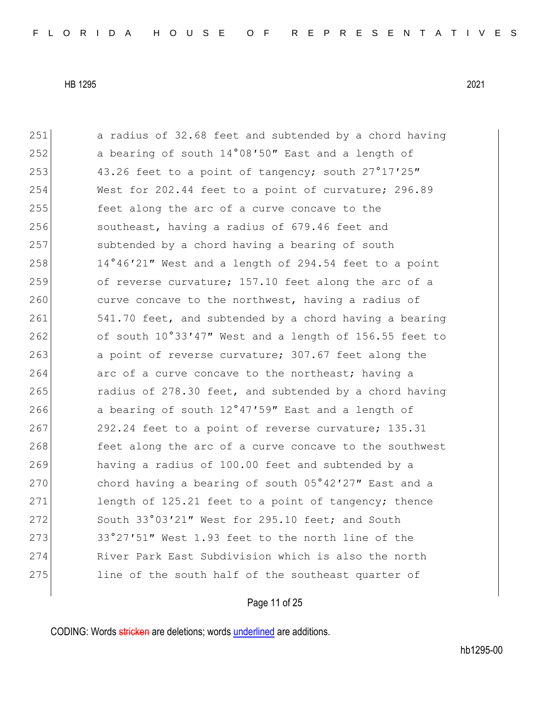251 a radius of 32.68 feet and subtended by a chord having 252 a bearing of south 14°08′50″ East and a length of 253 43.26 feet to a point of tangency; south 27°17′25″ 254 West for 202.44 feet to a point of curvature; 296.89 255 feet along the arc of a curve concave to the 256 southeast, having a radius of 679.46 feet and 257 subtended by a chord having a bearing of south  $258$  14°46′21″ West and a length of 294.54 feet to a point 259 of reverse curvature; 157.10 feet along the arc of a 260 curve concave to the northwest, having a radius of 261 541.70 feet, and subtended by a chord having a bearing 262 of south 10°33'47" West and a length of 156.55 feet to 263 a point of reverse curvature; 307.67 feet along the 264 arc of a curve concave to the northeast; having a 265 radius of 278.30 feet, and subtended by a chord having 266 a bearing of south 12°47'59" East and a length of 267 292.24 feet to a point of reverse curvature; 135.31 268 feet along the arc of a curve concave to the southwest 269 having a radius of 100.00 feet and subtended by a 270 chord having a bearing of south 05°42'27" East and a 271 length of 125.21 feet to a point of tangency; thence 272 South 33°03'21" West for 295.10 feet; and South  $273$  33°27′51″ West 1.93 feet to the north line of the 274 River Park East Subdivision which is also the north 275 line of the south half of the southeast quarter of

#### Page 11 of 25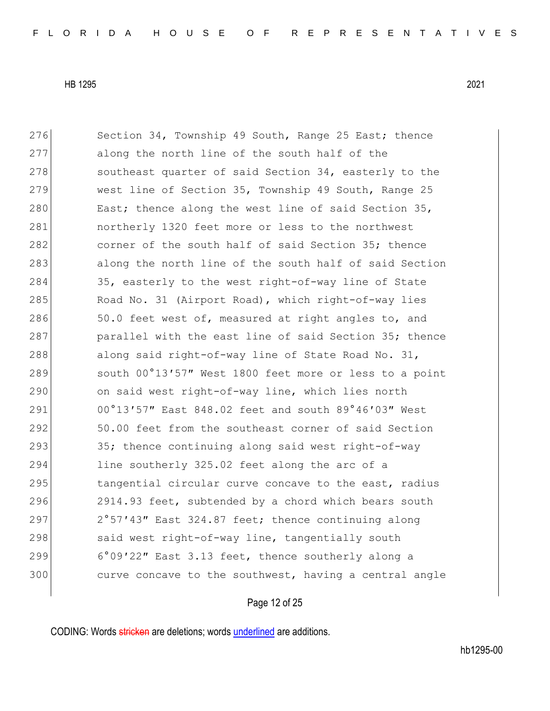276 Section 34, Township 49 South, Range 25 East; thence 277 along the north line of the south half of the 278 southeast quarter of said Section 34, easterly to the 279 west line of Section 35, Township 49 South, Range 25 280 East; thence along the west line of said Section 35, 281 northerly 1320 feet more or less to the northwest 282 corner of the south half of said Section 35; thence 283 along the north line of the south half of said Section 284 35, easterly to the west right-of-way line of State 285 Road No. 31 (Airport Road), which right-of-way lies 286 50.0 feet west of, measured at right angles to, and 287 parallel with the east line of said Section 35; thence 288 along said right-of-way line of State Road No. 31, 289 south 00°13'57" West 1800 feet more or less to a point 290 on said west right-of-way line, which lies north 291 00°13′57″ East 848.02 feet and south 89°46′03″ West 292 50.00 feet from the southeast corner of said Section 293 35; thence continuing along said west right-of-way 294 line southerly 325.02 feet along the arc of a 295 tangential circular curve concave to the east, radius 296 2914.93 feet, subtended by a chord which bears south 297 2°57'43" East 324.87 feet; thence continuing along 298 said west right-of-way line, tangentially south 299 6°09′22″ East 3.13 feet, thence southerly along a 300 curve concave to the southwest, having a central angle

#### Page 12 of 25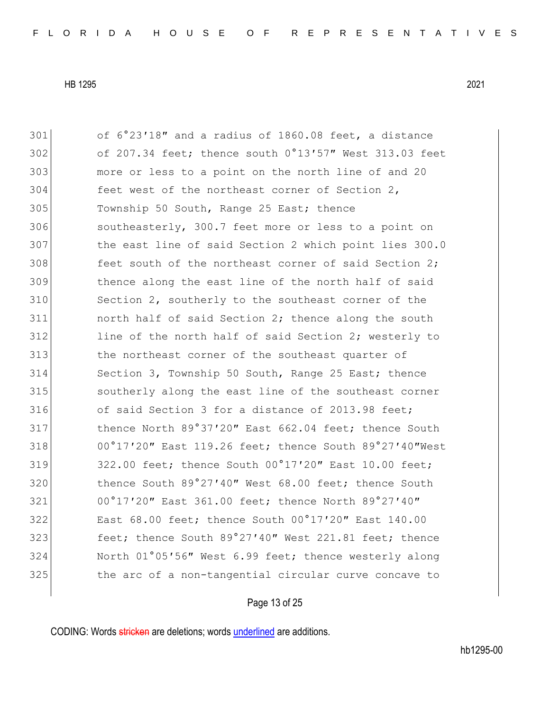of 6°23′18″ and a radius of 1860.08 feet, a distance of 207.34 feet; thence south 0°13′57″ West 313.03 feet more or less to a point on the north line of and 20 304 feet west of the northeast corner of Section 2, Township 50 South, Range 25 East; thence 306 southeasterly, 300.7 feet more or less to a point on the east line of said Section 2 which point lies 300.0 feet south of the northeast corner of said Section 2: thence along the east line of the north half of said Section 2, southerly to the southeast corner of the north half of said Section 2; thence along the south 312 line of the north half of said Section 2; westerly to the northeast corner of the southeast quarter of Section 3, Township 50 South, Range 25 East; thence southerly along the east line of the southeast corner 316 of said Section 3 for a distance of 2013.98 feet; 317 thence North 89°37'20" East 662.04 feet; thence South 318 00°17'20" East 119.26 feet; thence South 89°27'40"West 319 322.00 feet; thence South 00°17'20" East 10.00 feet; 320 thence South 89°27'40" West 68.00 feet; thence South 00°17′20″ East 361.00 feet; thence North 89°27′40″ East 68.00 feet; thence South 00°17′20″ East 140.00 **feet;** thence South 89°27'40" West 221.81 feet; thence North 01°05′56″ West 6.99 feet; thence westerly along the arc of a non-tangential circular curve concave to

#### Page 13 of 25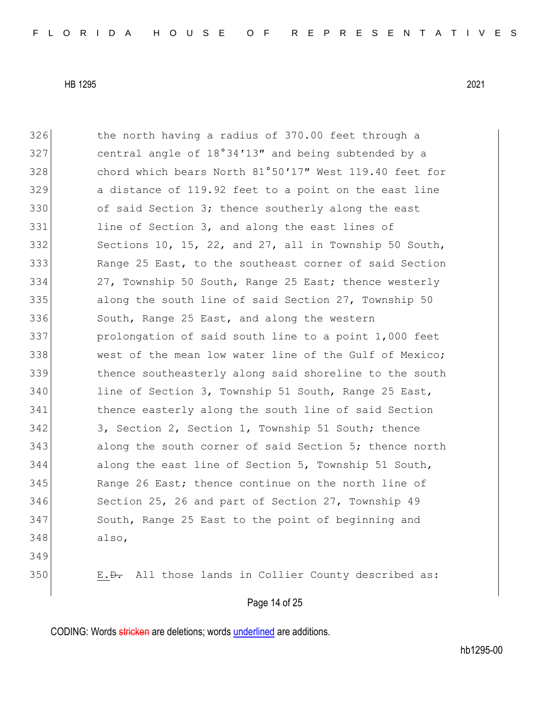326 the north having a radius of 370.00 feet through a 327 central angle of 18°34'13" and being subtended by a 328 chord which bears North 81°50'17" West 119.40 feet for 329 a distance of 119.92 feet to a point on the east line 330 of said Section 3; thence southerly along the east 331 line of Section 3, and along the east lines of 332 Sections 10, 15, 22, and 27, all in Township 50 South, 333 Range 25 East, to the southeast corner of said Section 334 27, Township 50 South, Range 25 East; thence westerly 335 along the south line of said Section 27, Township 50 336 South, Range 25 East, and along the western 337 prolongation of said south line to a point 1,000 feet 338 west of the mean low water line of the Gulf of Mexico; 339 thence southeasterly along said shoreline to the south 340 line of Section 3, Township 51 South, Range 25 East, 341 thence easterly along the south line of said Section 342 3, Section 2, Section 1, Township 51 South; thence 343 along the south corner of said Section 5; thence north 344 along the east line of Section 5, Township 51 South, 345 Range 26 East; thence continue on the north line of 346 Section 25, 26 and part of Section 27, Township 49 347 South, Range 25 East to the point of beginning and 348 also, 349 350 E.<del>D.</del> All those lands in Collier County described as:

### Page 14 of 25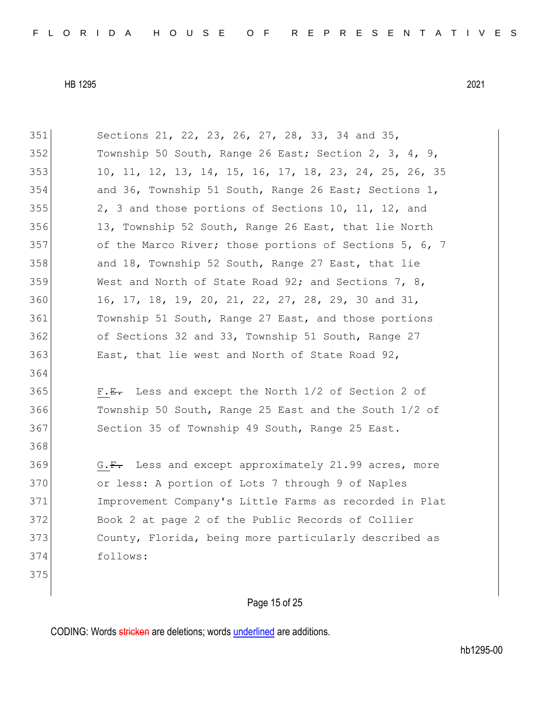| 351 | Sections 21, 22, 23, 26, 27, 28, 33, 34 and 35,        |
|-----|--------------------------------------------------------|
| 352 | Township 50 South, Range 26 East; Section 2, 3, 4, 9,  |
| 353 | 10, 11, 12, 13, 14, 15, 16, 17, 18, 23, 24, 25, 26, 35 |
| 354 | and 36, Township 51 South, Range 26 East; Sections 1,  |
| 355 | 2, 3 and those portions of Sections 10, 11, 12, and    |
| 356 | 13, Township 52 South, Range 26 East, that lie North   |
| 357 | of the Marco River; those portions of Sections 5, 6, 7 |
| 358 | and 18, Township 52 South, Range 27 East, that lie     |
| 359 | West and North of State Road 92; and Sections 7, 8,    |
| 360 | 16, 17, 18, 19, 20, 21, 22, 27, 28, 29, 30 and 31,     |
| 361 | Township 51 South, Range 27 East, and those portions   |
| 362 | of Sections 32 and 33, Township 51 South, Range 27     |
| 363 | East, that lie west and North of State Road 92,        |
| 364 |                                                        |
| 365 | $F.E.$ Less and except the North 1/2 of Section 2 of   |
| 366 | Township 50 South, Range 25 East and the South 1/2 of  |
| 367 | Section 35 of Township 49 South, Range 25 East.        |
| 368 |                                                        |
| 369 | G.F. Less and except approximately 21.99 acres, more   |
| 370 | or less: A portion of Lots 7 through 9 of Naples       |
| 371 | Improvement Company's Little Farms as recorded in Plat |
| 372 | Book 2 at page 2 of the Public Records of Collier      |
| 373 | County, Florida, being more particularly described as  |
| 374 | follows:                                               |
| 375 |                                                        |
|     |                                                        |

## Page 15 of 25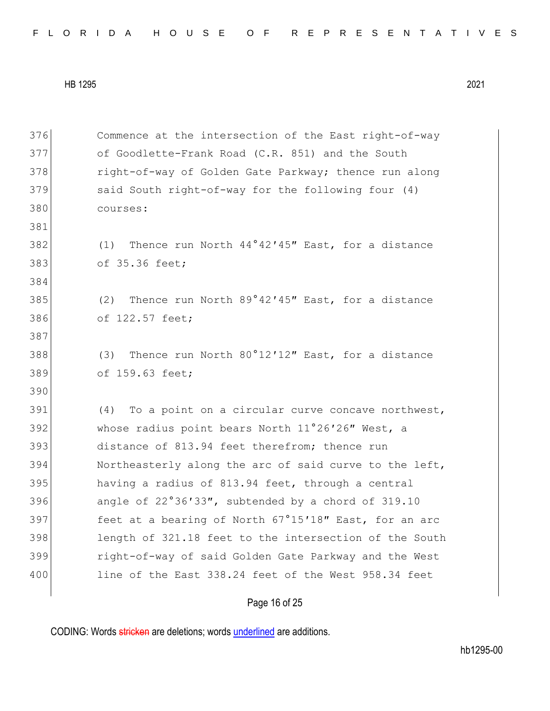|  |  | FLORIDA HOUSE OF REPRESENTATIVES |
|--|--|----------------------------------|
|--|--|----------------------------------|

| 376 | Commence at the intersection of the East right-of-way    |
|-----|----------------------------------------------------------|
| 377 | of Goodlette-Frank Road (C.R. 851) and the South         |
| 378 | right-of-way of Golden Gate Parkway; thence run along    |
| 379 | said South right-of-way for the following four (4)       |
| 380 | courses:                                                 |
| 381 |                                                          |
| 382 | (1) Thence run North 44°42'45" East, for a distance      |
| 383 | of 35.36 feet;                                           |
| 384 |                                                          |
| 385 | Thence run North 89°42'45" East, for a distance<br>(2)   |
| 386 | of 122.57 feet;                                          |
| 387 |                                                          |
| 388 | (3) Thence run North 80°12'12" East, for a distance      |
| 389 | of 159.63 feet;                                          |
| 390 |                                                          |
| 391 | To a point on a circular curve concave northwest,<br>(4) |
| 392 | whose radius point bears North 11°26'26" West, a         |
| 393 | distance of 813.94 feet therefrom; thence run            |
| 394 | Northeasterly along the arc of said curve to the left,   |
| 395 | having a radius of 813.94 feet, through a central        |
| 396 | angle of 22°36'33", subtended by a chord of 319.10       |
| 397 | feet at a bearing of North 67°15'18" East, for an arc    |
| 398 | length of 321.18 feet to the intersection of the South   |
| 399 | right-of-way of said Golden Gate Parkway and the West    |
| 400 | line of the East 338.24 feet of the West 958.34 feet     |
|     |                                                          |

# Page 16 of 25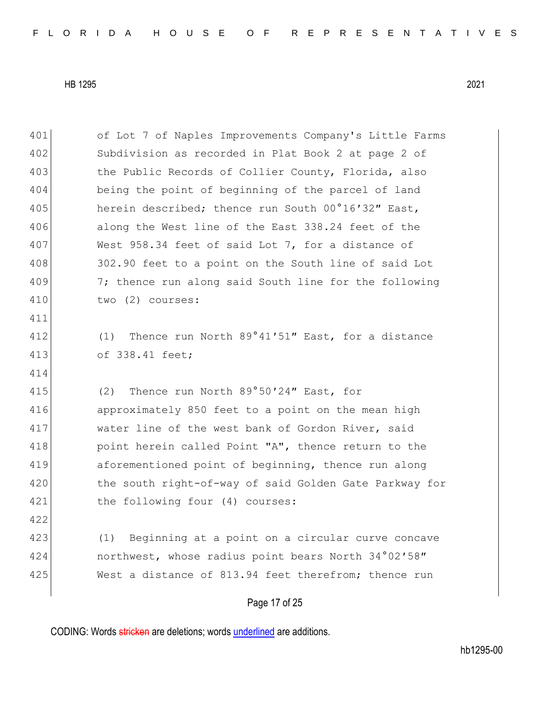| 401 | of Lot 7 of Naples Improvements Company's Little Farms  |
|-----|---------------------------------------------------------|
| 402 | Subdivision as recorded in Plat Book 2 at page 2 of     |
| 403 | the Public Records of Collier County, Florida, also     |
| 404 | being the point of beginning of the parcel of land      |
| 405 | herein described; thence run South 00°16'32" East,      |
| 406 | along the West line of the East 338.24 feet of the      |
| 407 | West 958.34 feet of said Lot 7, for a distance of       |
| 408 | 302.90 feet to a point on the South line of said Lot    |
| 409 | 7; thence run along said South line for the following   |
| 410 | two (2) courses:                                        |
| 411 |                                                         |
| 412 | Thence run North 89°41'51" East, for a distance<br>(1)  |
| 413 | of 338.41 feet;                                         |
| 414 |                                                         |
| 415 | Thence run North 89°50'24" East, for<br>(2)             |
| 416 | approximately 850 feet to a point on the mean high      |
| 417 | water line of the west bank of Gordon River, said       |
| 418 | point herein called Point "A", thence return to the     |
| 419 | aforementioned point of beginning, thence run along     |
| 420 | the south right-of-way of said Golden Gate Parkway for  |
| 421 | the following four (4) courses:                         |
| 422 |                                                         |
| 423 | Beginning at a point on a circular curve concave<br>(1) |
| 424 | northwest, whose radius point bears North 34°02'58"     |
| 425 | West a distance of 813.94 feet therefrom; thence run    |
|     |                                                         |

CODING: Words stricken are deletions; words underlined are additions.

Page 17 of 25

hb1295-00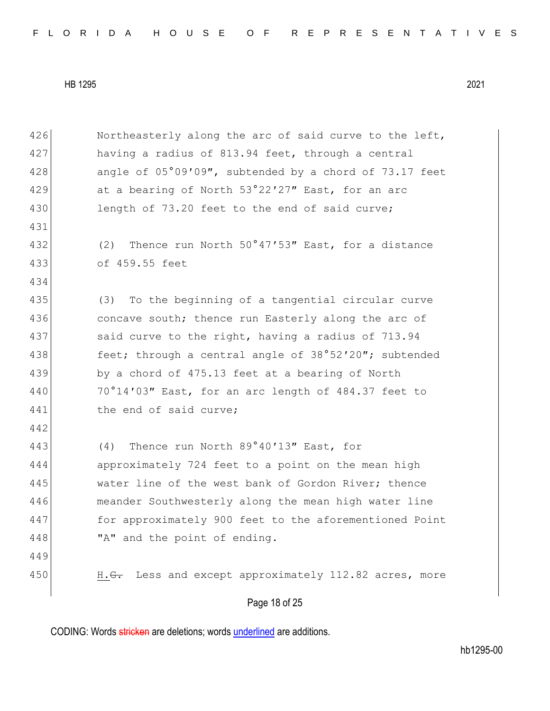| 426 | Northeasterly along the arc of said curve to the left,       |
|-----|--------------------------------------------------------------|
| 427 | having a radius of 813.94 feet, through a central            |
| 428 | angle of 05°09'09", subtended by a chord of 73.17 feet       |
| 429 | at a bearing of North 53°22'27" East, for an arc             |
| 430 | length of 73.20 feet to the end of said curve;               |
| 431 |                                                              |
| 432 | Thence run North 50°47'53" East, for a distance<br>(2)       |
| 433 | of 459.55 feet                                               |
| 434 |                                                              |
| 435 | To the beginning of a tangential circular curve<br>(3)       |
| 436 | concave south; thence run Easterly along the arc of          |
| 437 | said curve to the right, having a radius of 713.94           |
| 438 | feet; through a central angle of 38°52'20"; subtended        |
| 439 | by a chord of 475.13 feet at a bearing of North              |
| 440 | 70°14'03" East, for an arc length of 484.37 feet to          |
| 441 | the end of said curve;                                       |
| 442 |                                                              |
| 443 | Thence run North 89°40'13" East, for<br>(4)                  |
| 444 | approximately 724 feet to a point on the mean high           |
| 445 | water line of the west bank of Gordon River; thence          |
| 446 | meander Southwesterly along the mean high water line         |
| 447 | for approximately 900 feet to the aforementioned Point       |
| 448 | "A" and the point of ending.                                 |
| 449 |                                                              |
| 450 | Less and except approximately 112.82 acres, more<br>$H. G$ . |
|     | Page 18 of 25                                                |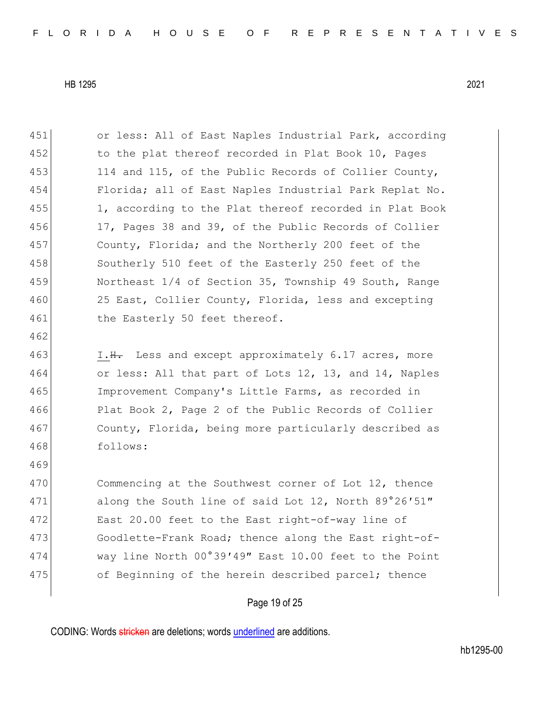| 451 | or less: All of East Naples Industrial Park, according |
|-----|--------------------------------------------------------|
| 452 | to the plat thereof recorded in Plat Book 10, Pages    |
| 453 | 114 and 115, of the Public Records of Collier County,  |
| 454 | Florida; all of East Naples Industrial Park Replat No. |
| 455 | 1, according to the Plat thereof recorded in Plat Book |
| 456 | 17, Pages 38 and 39, of the Public Records of Collier  |
| 457 | County, Florida; and the Northerly 200 feet of the     |
| 458 | Southerly 510 feet of the Easterly 250 feet of the     |
| 459 | Northeast 1/4 of Section 35, Township 49 South, Range  |
| 460 | 25 East, Collier County, Florida, less and excepting   |
| 461 | the Easterly 50 feet thereof.                          |
| 462 |                                                        |
| 463 | I.H. Less and except approximately 6.17 acres, more    |
| 464 | or less: All that part of Lots 12, 13, and 14, Naples  |
| 465 | Improvement Company's Little Farms, as recorded in     |
| 466 | Plat Book 2, Page 2 of the Public Records of Collier   |
| 467 | County, Florida, being more particularly described as  |
| 468 | follows:                                               |
| 469 |                                                        |
| 470 | Commencing at the Southwest corner of Lot 12, thence   |
| 471 | along the South line of said Lot 12, North 89°26'51"   |
| 472 | East 20.00 feet to the East right-of-way line of       |
| 473 | Goodlette-Frank Road; thence along the East right-of-  |
| 474 | way line North 00°39'49" East 10.00 feet to the Point  |
| 475 | of Beginning of the herein described parcel; thence    |
|     |                                                        |

# Page 19 of 25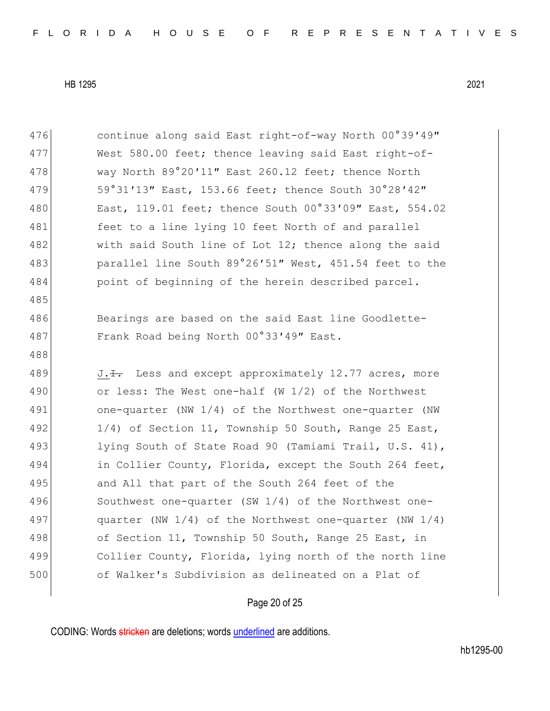| 476 | continue along said East right-of-way North 00°39'49"        |
|-----|--------------------------------------------------------------|
| 477 | West 580.00 feet; thence leaving said East right-of-         |
| 478 | way North 89°20'11" East 260.12 feet; thence North           |
| 479 | 59°31'13" East, 153.66 feet; thence South 30°28'42"          |
| 480 | East, 119.01 feet; thence South 00°33'09" East, 554.02       |
| 481 | feet to a line lying 10 feet North of and parallel           |
| 482 | with said South line of Lot 12; thence along the said        |
| 483 | parallel line South 89°26'51" West, 451.54 feet to the       |
| 484 | point of beginning of the herein described parcel.           |
| 485 |                                                              |
| 486 | Bearings are based on the said East line Goodlette-          |
| 487 | Frank Road being North 00°33'49" East.                       |
| 488 |                                                              |
|     |                                                              |
| 489 | $J.$ Less and except approximately 12.77 acres, more         |
| 490 | or less: The West one-half (W $1/2$ ) of the Northwest       |
| 491 | one-quarter (NW 1/4) of the Northwest one-quarter (NW        |
| 492 | 1/4) of Section 11, Township 50 South, Range 25 East,        |
| 493 | lying South of State Road 90 (Tamiami Trail, U.S. 41),       |
| 494 | in Collier County, Florida, except the South 264 feet,       |
| 495 | and All that part of the South 264 feet of the               |
| 496 | Southwest one-quarter (SW 1/4) of the Northwest one-         |
| 497 | quarter (NW $1/4$ ) of the Northwest one-quarter (NW $1/4$ ) |
| 498 | of Section 11, Township 50 South, Range 25 East, in          |
| 499 | Collier County, Florida, lying north of the north line       |
| 500 | of Walker's Subdivision as delineated on a Plat of           |

## Page 20 of 25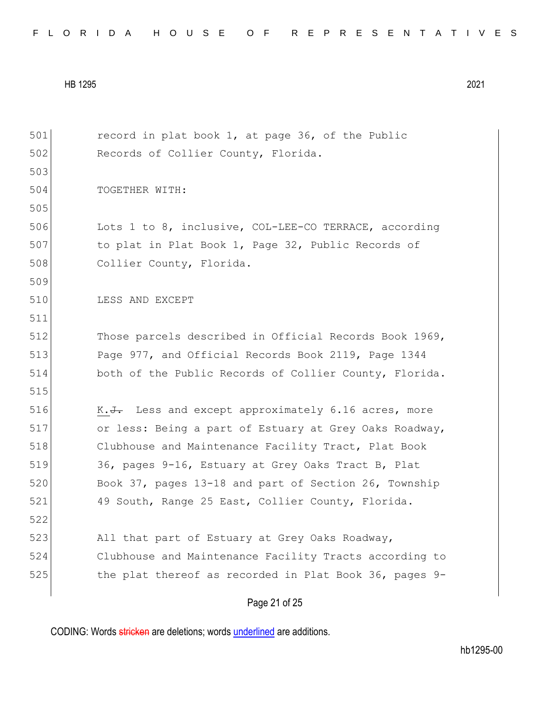|  |  |  |  |  |  |  |  |  |  | FLORIDA HOUSE OF REPRESENTATIVES |  |  |  |  |  |  |  |  |  |  |  |  |  |  |  |  |
|--|--|--|--|--|--|--|--|--|--|----------------------------------|--|--|--|--|--|--|--|--|--|--|--|--|--|--|--|--|
|--|--|--|--|--|--|--|--|--|--|----------------------------------|--|--|--|--|--|--|--|--|--|--|--|--|--|--|--|--|

Page 21 of 25 501 record in plat book 1, at page 36, of the Public 502 Records of Collier County, Florida. 503 504 TOGETHER WITH: 505 506 Lots 1 to 8, inclusive, COL-LEE-CO TERRACE, according 507 to plat in Plat Book 1, Page 32, Public Records of 508 Collier County, Florida. 509 510 LESS AND EXCEPT 511 512 Those parcels described in Official Records Book 1969, 513 Page 977, and Official Records Book 2119, Page 1344 514 both of the Public Records of Collier County, Florida. 515 516 K.<del>J.</del> Less and except approximately 6.16 acres, more 517 or less: Being a part of Estuary at Grey Oaks Roadway, 518 Clubhouse and Maintenance Facility Tract, Plat Book 519 36, pages 9-16, Estuary at Grey Oaks Tract B, Plat 520 Book 37, pages 13-18 and part of Section 26, Township 521 49 South, Range 25 East, Collier County, Florida. 522 523 All that part of Estuary at Grey Oaks Roadway, 524 Clubhouse and Maintenance Facility Tracts according to 525 the plat thereof as recorded in Plat Book 36, pages 9-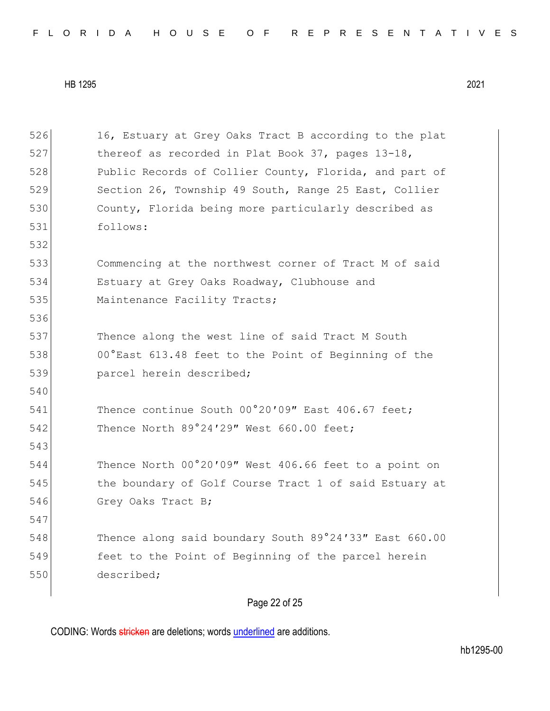| FLORIDA HOUSE OF REPRESENTATIVES |  |
|----------------------------------|--|
|----------------------------------|--|

526 16, Estuary at Grey Oaks Tract B according to the plat 527 thereof as recorded in Plat Book 37, pages 13-18, 528 Public Records of Collier County, Florida, and part of 529 Section 26, Township 49 South, Range 25 East, Collier 530 County, Florida being more particularly described as 531 follows: 532 533 Commencing at the northwest corner of Tract M of said 534 Estuary at Grey Oaks Roadway, Clubhouse and 535 Maintenance Facility Tracts; 536 537 Thence along the west line of said Tract M South 538 00°East 613.48 feet to the Point of Beginning of the 539 **parcel herein described;** 540 541 Thence continue South 00°20'09" East 406.67 feet; 542 Thence North 89°24'29" West 660.00 feet; 543 544 Thence North 00°20′09″ West 406.66 feet to a point on 545 the boundary of Golf Course Tract 1 of said Estuary at 546 Grey Oaks Tract B; 547 548 Thence along said boundary South 89°24'33" East 660.00 549 feet to the Point of Beginning of the parcel herein 550 described;

Page 22 of 25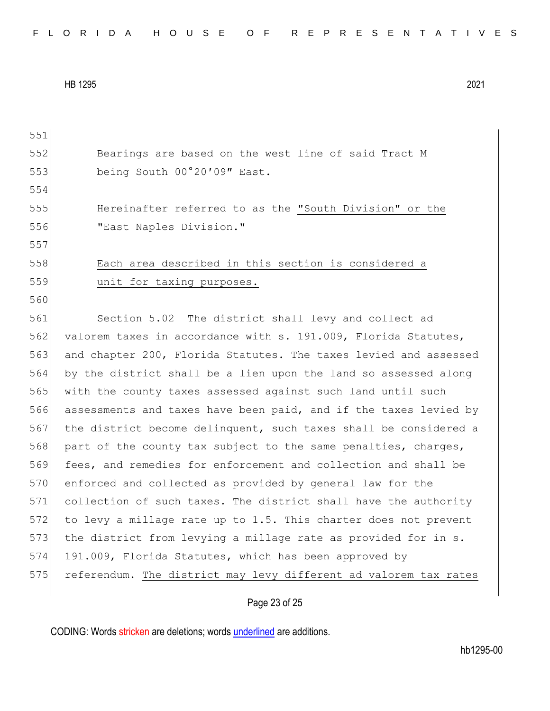|  |  |  |  |  |  |  |  |  |  | FLORIDA HOUSE OF REPRESENTATIVES |  |  |  |  |  |  |  |  |  |  |  |  |  |  |  |  |
|--|--|--|--|--|--|--|--|--|--|----------------------------------|--|--|--|--|--|--|--|--|--|--|--|--|--|--|--|--|
|--|--|--|--|--|--|--|--|--|--|----------------------------------|--|--|--|--|--|--|--|--|--|--|--|--|--|--|--|--|

551 552 Bearings are based on the west line of said Tract M 553 being South 00°20′09″ East. 554 555 Hereinafter referred to as the "South Division" or the 556 "East Naples Division." 557 558 Each area described in this section is considered a 559 unit for taxing purposes. 560 561 Section 5.02 The district shall levy and collect ad 562 valorem taxes in accordance with s. 191.009, Florida Statutes, 563 and chapter 200, Florida Statutes. The taxes levied and assessed 564 by the district shall be a lien upon the land so assessed along 565 with the county taxes assessed against such land until such 566 assessments and taxes have been paid, and if the taxes levied by 567 the district become delinquent, such taxes shall be considered a 568 part of the county tax subject to the same penalties, charges, 569 fees, and remedies for enforcement and collection and shall be 570 enforced and collected as provided by general law for the 571 collection of such taxes. The district shall have the authority 572 to levy a millage rate up to 1.5. This charter does not prevent 573 the district from levying a millage rate as provided for in s. 574 191.009, Florida Statutes, which has been approved by 575 referendum. The district may levy different ad valorem tax rates

### Page 23 of 25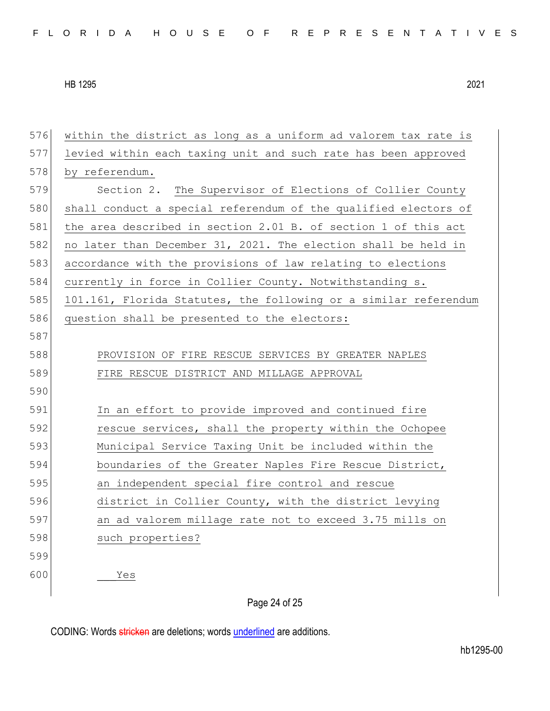| 576 | within the district as long as a uniform ad valorem tax rate is  |
|-----|------------------------------------------------------------------|
| 577 | levied within each taxing unit and such rate has been approved   |
| 578 | by referendum.                                                   |
| 579 | Section 2. The Supervisor of Elections of Collier County         |
| 580 | shall conduct a special referendum of the qualified electors of  |
| 581 | the area described in section 2.01 B. of section 1 of this act   |
| 582 | no later than December 31, 2021. The election shall be held in   |
| 583 | accordance with the provisions of law relating to elections      |
| 584 | currently in force in Collier County. Notwithstanding s.         |
| 585 | 101.161, Florida Statutes, the following or a similar referendum |
| 586 | question shall be presented to the electors:                     |
| 587 |                                                                  |
| 588 | PROVISION OF FIRE RESCUE SERVICES BY GREATER NAPLES              |
| 589 | FIRE RESCUE DISTRICT AND MILLAGE APPROVAL                        |
| 590 |                                                                  |
| 591 | In an effort to provide improved and continued fire              |
| 592 | rescue services, shall the property within the Ochopee           |
| 593 | Municipal Service Taxing Unit be included within the             |
| 594 | boundaries of the Greater Naples Fire Rescue District,           |
| 595 | an independent special fire control and rescue                   |
| 596 | district in Collier County, with the district levying            |
| 597 | an ad valorem millage rate not to exceed 3.75 mills on           |
| 598 | such properties?                                                 |
| 599 |                                                                  |
| 600 | Yes                                                              |
|     |                                                                  |

## Page 24 of 25